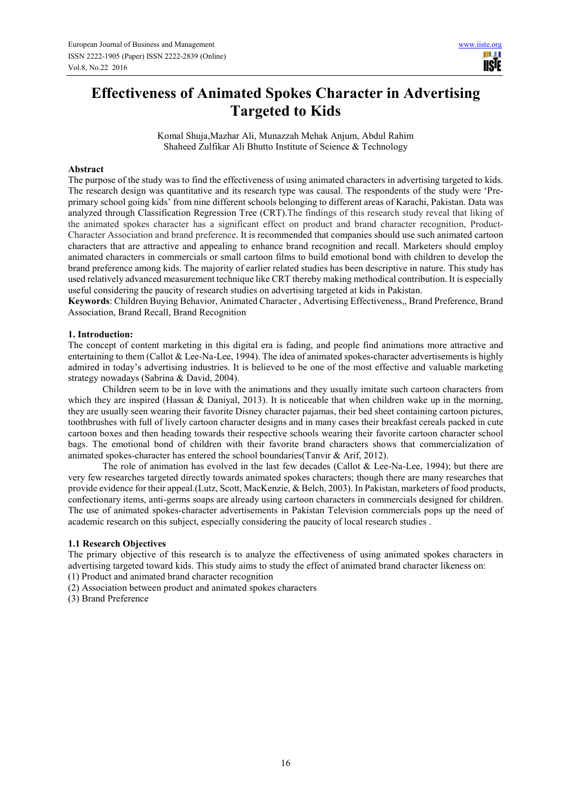# **Effectiveness of Animated Spokes Character in Advertising Targeted to Kids**

Komal Shuja,Mazhar Ali, Munazzah Mehak Anjum, Abdul Rahim Shaheed Zulfikar Ali Bhutto Institute of Science & Technology

#### **Abstract**

The purpose of the study was to find the effectiveness of using animated characters in advertising targeted to kids. The research design was quantitative and its research type was causal. The respondents of the study were 'Preprimary school going kids' from nine different schools belonging to different areas of Karachi, Pakistan. Data was analyzed through Classification Regression Tree (CRT).The findings of this research study reveal that liking of the animated spokes character has a significant effect on product and brand character recognition, Product-Character Association and brand preference. It is recommended that companies should use such animated cartoon characters that are attractive and appealing to enhance brand recognition and recall. Marketers should employ animated characters in commercials or small cartoon films to build emotional bond with children to develop the brand preference among kids. The majority of earlier related studies has been descriptive in nature. This study has used relatively advanced measurement technique like CRT thereby making methodical contribution. It is especially useful considering the paucity of research studies on advertising targeted at kids in Pakistan.

**Keywords**: Children Buying Behavior, Animated Character , Advertising Effectiveness,, Brand Preference, Brand Association, Brand Recall, Brand Recognition

## **1. Introduction:**

The concept of content marketing in this digital era is fading, and people find animations more attractive and entertaining to them (Callot & Lee-Na-Lee, 1994). The idea of animated spokes-character advertisements is highly admired in today's advertising industries. It is believed to be one of the most effective and valuable marketing strategy nowadays (Sabrina & David, 2004).

Children seem to be in love with the animations and they usually imitate such cartoon characters from which they are inspired (Hassan & Daniyal, 2013). It is noticeable that when children wake up in the morning, they are usually seen wearing their favorite Disney character pajamas, their bed sheet containing cartoon pictures, toothbrushes with full of lively cartoon character designs and in many cases their breakfast cereals packed in cute cartoon boxes and then heading towards their respective schools wearing their favorite cartoon character school bags. The emotional bond of children with their favorite brand characters shows that commercialization of animated spokes-character has entered the school boundaries(Tanvir & Arif, 2012).

The role of animation has evolved in the last few decades (Callot & Lee-Na-Lee, 1994); but there are very few researches targeted directly towards animated spokes characters; though there are many researches that provide evidence for their appeal.(Lutz, Scott, MacKenzie, & Belch, 2003). In Pakistan, marketers of food products, confectionary items, anti-germs soaps are already using cartoon characters in commercials designed for children. The use of animated spokes-character advertisements in Pakistan Television commercials pops up the need of academic research on this subject, especially considering the paucity of local research studies .

#### **1.1 Research Objectives**

The primary objective of this research is to analyze the effectiveness of using animated spokes characters in advertising targeted toward kids. This study aims to study the effect of animated brand character likeness on:

(1) Product and animated brand character recognition

(2) Association between product and animated spokes characters

(3) Brand Preference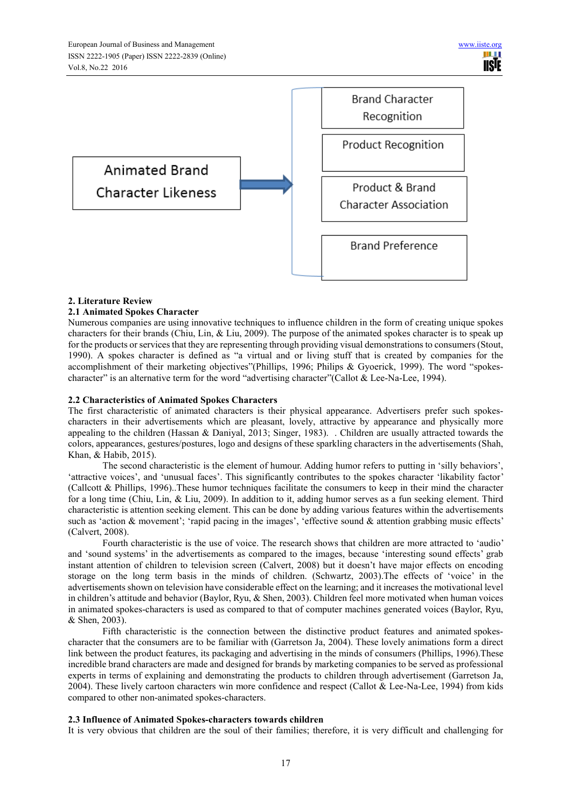

# **2. Literature Review**

#### **2.1 Animated Spokes Character**

Numerous companies are using innovative techniques to influence children in the form of creating unique spokes characters for their brands (Chiu, Lin, & Liu, 2009). The purpose of the animated spokes character is to speak up for the products or services that they are representing through providing visual demonstrations to consumers (Stout, 1990). A spokes character is defined as "a virtual and or living stuff that is created by companies for the accomplishment of their marketing objectives"(Phillips, 1996; Philips & Gyoerick, 1999). The word "spokescharacter" is an alternative term for the word "advertising character" (Callot & Lee-Na-Lee, 1994).

#### **2.2 Characteristics of Animated Spokes Characters**

The first characteristic of animated characters is their physical appearance. Advertisers prefer such spokescharacters in their advertisements which are pleasant, lovely, attractive by appearance and physically more appealing to the children (Hassan & Daniyal, 2013; Singer, 1983). . Children are usually attracted towards the colors, appearances, gestures/postures, logo and designs of these sparkling characters in the advertisements (Shah, Khan, & Habib, 2015).

The second characteristic is the element of humour. Adding humor refers to putting in 'silly behaviors', 'attractive voices', and 'unusual faces'. This significantly contributes to the spokes character 'likability factor' (Callcott & Phillips, 1996)..These humor techniques facilitate the consumers to keep in their mind the character for a long time (Chiu, Lin, & Liu, 2009). In addition to it, adding humor serves as a fun seeking element. Third characteristic is attention seeking element. This can be done by adding various features within the advertisements such as 'action & movement'; 'rapid pacing in the images', 'effective sound & attention grabbing music effects' (Calvert, 2008).

Fourth characteristic is the use of voice. The research shows that children are more attracted to 'audio' and 'sound systems' in the advertisements as compared to the images, because 'interesting sound effects' grab instant attention of children to television screen (Calvert, 2008) but it doesn't have major effects on encoding storage on the long term basis in the minds of children. (Schwartz, 2003).The effects of 'voice' in the advertisements shown on television have considerable effect on the learning; and it increases the motivational level in children's attitude and behavior (Baylor, Ryu, & Shen, 2003). Children feel more motivated when human voices in animated spokes-characters is used as compared to that of computer machines generated voices (Baylor, Ryu, & Shen, 2003).

Fifth characteristic is the connection between the distinctive product features and animated spokescharacter that the consumers are to be familiar with (Garretson Ja, 2004). These lovely animations form a direct link between the product features, its packaging and advertising in the minds of consumers (Phillips, 1996).These incredible brand characters are made and designed for brands by marketing companies to be served as professional experts in terms of explaining and demonstrating the products to children through advertisement (Garretson Ja, 2004). These lively cartoon characters win more confidence and respect (Callot & Lee-Na-Lee, 1994) from kids compared to other non-animated spokes-characters.

#### **2.3 Influence of Animated Spokes-characters towards children**

It is very obvious that children are the soul of their families; therefore, it is very difficult and challenging for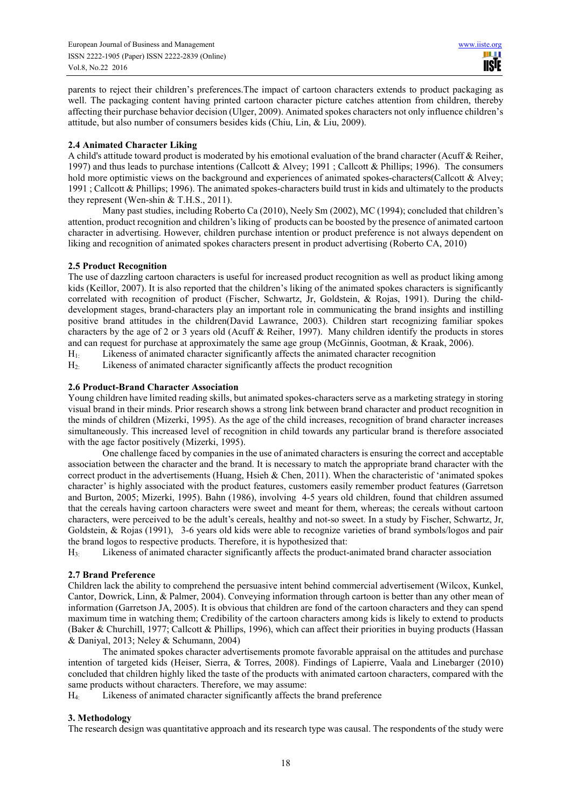parents to reject their children's preferences.The impact of cartoon characters extends to product packaging as well. The packaging content having printed cartoon character picture catches attention from children, thereby affecting their purchase behavior decision (Ulger, 2009). Animated spokes characters not only influence children's attitude, but also number of consumers besides kids (Chiu, Lin, & Liu, 2009).

## **2.4 Animated Character Liking**

A child's attitude toward product is moderated by his emotional evaluation of the brand character (Acuff & Reiher, 1997) and thus leads to purchase intentions (Callcott & Alvey; 1991 ; Callcott & Phillips; 1996). The consumers hold more optimistic views on the background and experiences of animated spokes-characters(Callcott & Alvey; 1991 ; Callcott & Phillips; 1996). The animated spokes-characters build trust in kids and ultimately to the products they represent (Wen-shin & T.H.S., 2011).

Many past studies, including Roberto Ca (2010), Neely Sm (2002), MC (1994); concluded that children's attention, product recognition and children's liking of products can be boosted by the presence of animated cartoon character in advertising. However, children purchase intention or product preference is not always dependent on liking and recognition of animated spokes characters present in product advertising (Roberto CA, 2010)

## **2.5 Product Recognition**

The use of dazzling cartoon characters is useful for increased product recognition as well as product liking among kids (Keillor, 2007). It is also reported that the children's liking of the animated spokes characters is significantly correlated with recognition of product (Fischer, Schwartz, Jr, Goldstein, & Rojas, 1991). During the childdevelopment stages, brand-characters play an important role in communicating the brand insights and instilling positive brand attitudes in the children(David Lawrance, 2003). Children start recognizing familiar spokes characters by the age of 2 or 3 years old (Acuff  $\&$  Reiher, 1997). Many children identify the products in stores and can request for purchase at approximately the same age group (McGinnis, Gootman, & Kraak, 2006).

H1: Likeness of animated character significantly affects the animated character recognition

H2: Likeness of animated character significantly affects the product recognition

## **2.6 Product-Brand Character Association**

Young children have limited reading skills, but animated spokes-characters serve as a marketing strategy in storing visual brand in their minds. Prior research shows a strong link between brand character and product recognition in the minds of children (Mizerki, 1995). As the age of the child increases, recognition of brand character increases simultaneously. This increased level of recognition in child towards any particular brand is therefore associated with the age factor positively (Mizerki, 1995).

One challenge faced by companies in the use of animated characters is ensuring the correct and acceptable association between the character and the brand. It is necessary to match the appropriate brand character with the correct product in the advertisements (Huang, Hsieh & Chen, 2011). When the characteristic of 'animated spokes character' is highly associated with the product features, customers easily remember product features (Garretson and Burton, 2005; Mizerki, 1995). Bahn (1986), involving 4-5 years old children, found that children assumed that the cereals having cartoon characters were sweet and meant for them, whereas; the cereals without cartoon characters, were perceived to be the adult's cereals, healthy and not-so sweet. In a study by Fischer, Schwartz, Jr, Goldstein, & Rojas (1991), 3-6 years old kids were able to recognize varieties of brand symbols/logos and pair the brand logos to respective products. Therefore, it is hypothesized that:

H3: Likeness of animated character significantly affects the product-animated brand character association

#### **2.7 Brand Preference**

Children lack the ability to comprehend the persuasive intent behind commercial advertisement (Wilcox, Kunkel, Cantor, Dowrick, Linn, & Palmer, 2004). Conveying information through cartoon is better than any other mean of information (Garretson JA, 2005). It is obvious that children are fond of the cartoon characters and they can spend maximum time in watching them; Credibility of the cartoon characters among kids is likely to extend to products (Baker & Churchill, 1977; Callcott & Phillips, 1996), which can affect their priorities in buying products (Hassan & Daniyal, 2013; Neley & Schumann, 2004)

The animated spokes character advertisements promote favorable appraisal on the attitudes and purchase intention of targeted kids (Heiser, Sierra, & Torres, 2008). Findings of Lapierre, Vaala and Linebarger (2010) concluded that children highly liked the taste of the products with animated cartoon characters, compared with the same products without characters. Therefore, we may assume:

H4: Likeness of animated character significantly affects the brand preference

# **3. Methodology**

The research design was quantitative approach and its research type was causal. The respondents of the study were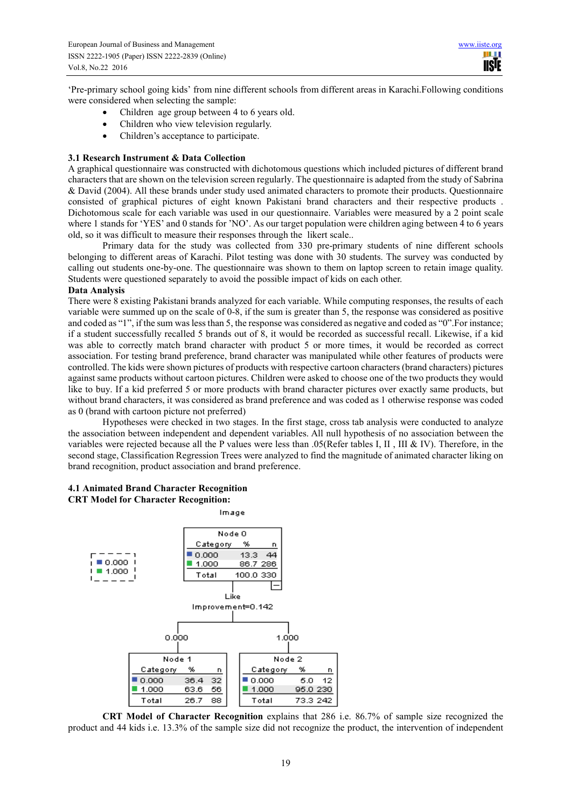HH I **IISTE** 

'Pre-primary school going kids' from nine different schools from different areas in Karachi.Following conditions were considered when selecting the sample:

- Children age group between 4 to 6 years old.
- Children who view television regularly.
- Children's acceptance to participate.

#### **3.1 Research Instrument & Data Collection**

A graphical questionnaire was constructed with dichotomous questions which included pictures of different brand characters that are shown on the television screen regularly. The questionnaire is adapted from the study of Sabrina & David (2004). All these brands under study used animated characters to promote their products. Questionnaire consisted of graphical pictures of eight known Pakistani brand characters and their respective products . Dichotomous scale for each variable was used in our questionnaire. Variables were measured by a 2 point scale where 1 stands for 'YES' and 0 stands for 'NO'. As our target population were children aging between 4 to 6 years old, so it was difficult to measure their responses through the likert scale..

Primary data for the study was collected from 330 pre-primary students of nine different schools belonging to different areas of Karachi. Pilot testing was done with 30 students. The survey was conducted by calling out students one-by-one. The questionnaire was shown to them on laptop screen to retain image quality. Students were questioned separately to avoid the possible impact of kids on each other.

#### **Data Analysis**

There were 8 existing Pakistani brands analyzed for each variable. While computing responses, the results of each variable were summed up on the scale of 0-8, if the sum is greater than 5, the response was considered as positive and coded as "1", if the sum was less than 5, the response was considered as negative and coded as "0".For instance; if a student successfully recalled 5 brands out of 8, it would be recorded as successful recall. Likewise, if a kid was able to correctly match brand character with product 5 or more times, it would be recorded as correct association. For testing brand preference, brand character was manipulated while other features of products were controlled. The kids were shown pictures of products with respective cartoon characters (brand characters) pictures against same products without cartoon pictures. Children were asked to choose one of the two products they would like to buy. If a kid preferred 5 or more products with brand character pictures over exactly same products, but without brand characters, it was considered as brand preference and was coded as 1 otherwise response was coded as 0 (brand with cartoon picture not preferred)

Hypotheses were checked in two stages. In the first stage, cross tab analysis were conducted to analyze the association between independent and dependent variables. All null hypothesis of no association between the variables were rejected because all the P values were less than .05(Refer tables I, II , III & IV). Therefore, in the second stage, Classification Regression Trees were analyzed to find the magnitude of animated character liking on brand recognition, product association and brand preference.

# **4.1 Animated Brand Character Recognition**

**CRT Model for Character Recognition:** 



**CRT Model of Character Recognition** explains that 286 i.e. 86.7% of sample size recognized the product and 44 kids i.e. 13.3% of the sample size did not recognize the product, the intervention of independent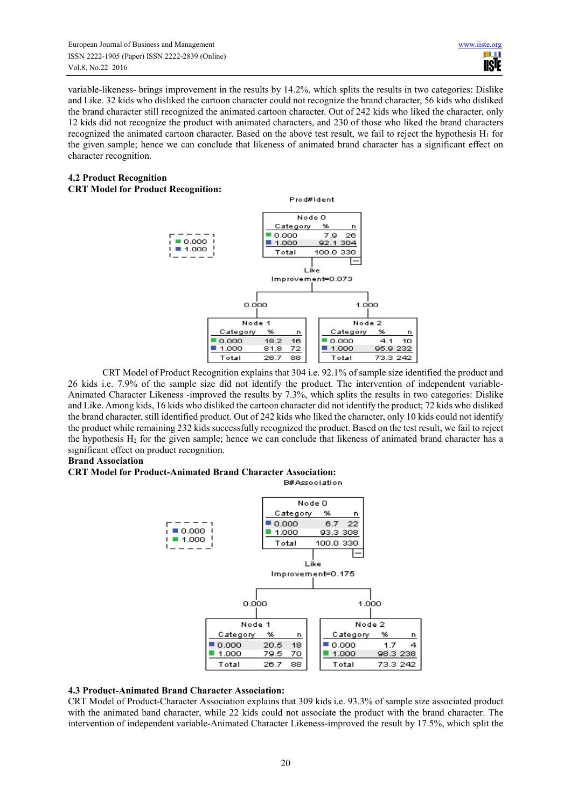European Journal of Business and Management www.iiste.org ISSN 2222-1905 (Paper) ISSN 2222-2839 (Online) Vol.8, No.22 2016

variable-likeness- brings improvement in the results by 14.2%, which splits the results in two categories: Dislike and Like. 32 kids who disliked the cartoon character could not recognize the brand character, 56 kids who disliked the brand character still recognized the animated cartoon character. Out of 242 kids who liked the character, only 12 kids did not recognize the product with animated characters, and 230 of those who liked the brand characters recognized the animated cartoon character. Based on the above test result, we fail to reject the hypothesis  $H_1$  for the given sample; hence we can conclude that likeness of animated brand character has a significant effect on character recognition.

## **4.2 Product Recognition CRT Model for Product Recognition:**



CRT Model of Product Recognition explains that 304 i.e. 92.1% of sample size identified the product and 26 kids i.e. 7.9% of the sample size did not identify the product. The intervention of independent variable-Animated Character Likeness -improved the results by 7.3%, which splits the results in two categories: Dislike and Like. Among kids, 16 kids who disliked the cartoon character did not identify the product; 72 kids who disliked the brand character, still identified product. Out of 242 kids who liked the character, only 10 kids could not identify the product while remaining 232 kids successfully recognized the product. Based on the test result, we fail to reject the hypothesis  $H_2$  for the given sample; hence we can conclude that likeness of animated brand character has a significant effect on product recognition.

#### **Brand Association**

#### **CRT Model for Product-Animated Brand Character Association:**

**B#Association** 



#### **4.3 Product-Animated Brand Character Association:**

CRT Model of Product-Character Association explains that 309 kids i.e. 93.3% of sample size associated product with the animated band character, while 22 kids could not associate the product with the brand character. The intervention of independent variable-Animated Character Likeness-improved the result by 17.5%, which split the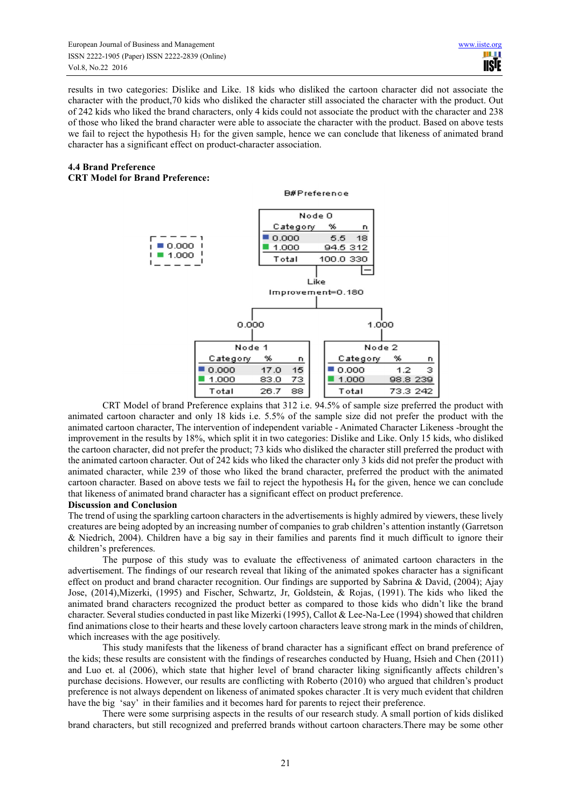results in two categories: Dislike and Like. 18 kids who disliked the cartoon character did not associate the character with the product,70 kids who disliked the character still associated the character with the product. Out of 242 kids who liked the brand characters, only 4 kids could not associate the product with the character and 238 of those who liked the brand character were able to associate the character with the product. Based on above tests we fail to reject the hypothesis  $H_3$  for the given sample, hence we can conclude that likeness of animated brand character has a significant effect on product-character association.

## **4.4 Brand Preference**

## **CRT Model for Brand Preference:**



CRT Model of brand Preference explains that 312 i.e. 94.5% of sample size preferred the product with animated cartoon character and only 18 kids i.e. 5.5% of the sample size did not prefer the product with the animated cartoon character, The intervention of independent variable - Animated Character Likeness -brought the improvement in the results by 18%, which split it in two categories: Dislike and Like. Only 15 kids, who disliked the cartoon character, did not prefer the product; 73 kids who disliked the character still preferred the product with the animated cartoon character. Out of 242 kids who liked the character only 3 kids did not prefer the product with animated character, while 239 of those who liked the brand character, preferred the product with the animated cartoon character. Based on above tests we fail to reject the hypothesis  $H_4$  for the given, hence we can conclude that likeness of animated brand character has a significant effect on product preference.

#### **Discussion and Conclusion**

The trend of using the sparkling cartoon characters in the advertisements is highly admired by viewers, these lively creatures are being adopted by an increasing number of companies to grab children's attention instantly (Garretson & Niedrich, 2004). Children have a big say in their families and parents find it much difficult to ignore their children's preferences.

The purpose of this study was to evaluate the effectiveness of animated cartoon characters in the advertisement. The findings of our research reveal that liking of the animated spokes character has a significant effect on product and brand character recognition. Our findings are supported by Sabrina & David, (2004); Ajay Jose, (2014),Mizerki, (1995) and Fischer, Schwartz, Jr, Goldstein, & Rojas, (1991). The kids who liked the animated brand characters recognized the product better as compared to those kids who didn't like the brand character. Several studies conducted in past like Mizerki (1995), Callot & Lee-Na-Lee (1994) showed that children find animations close to their hearts and these lovely cartoon characters leave strong mark in the minds of children, which increases with the age positively.

This study manifests that the likeness of brand character has a significant effect on brand preference of the kids; these results are consistent with the findings of researches conducted by Huang, Hsieh and Chen (2011) and Luo et. al (2006), which state that higher level of brand character liking significantly affects children's purchase decisions. However, our results are conflicting with Roberto (2010) who argued that children's product preference is not always dependent on likeness of animated spokes character .It is very much evident that children have the big 'say' in their families and it becomes hard for parents to reject their preference.

There were some surprising aspects in the results of our research study. A small portion of kids disliked brand characters, but still recognized and preferred brands without cartoon characters.There may be some other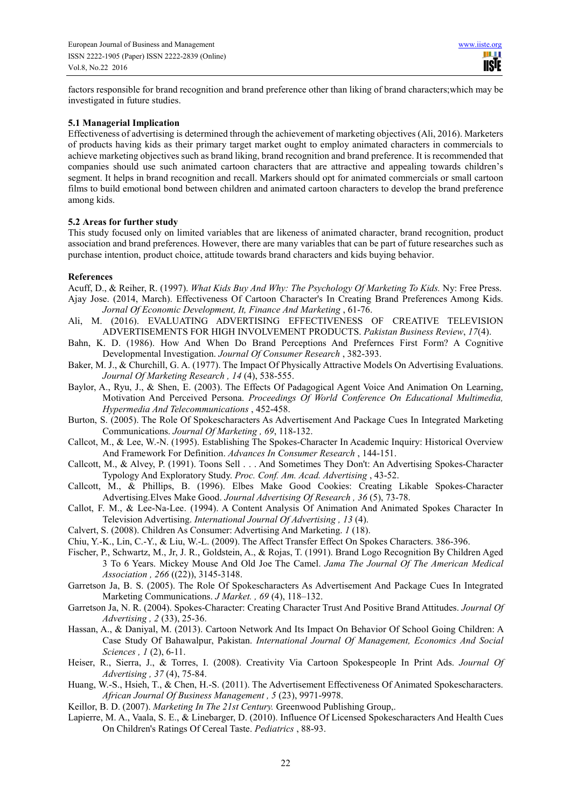factors responsible for brand recognition and brand preference other than liking of brand characters;which may be investigated in future studies.

#### **5.1 Managerial Implication**

Effectiveness of advertising is determined through the achievement of marketing objectives (Ali, 2016). Marketers of products having kids as their primary target market ought to employ animated characters in commercials to achieve marketing objectives such as brand liking, brand recognition and brand preference. It is recommended that companies should use such animated cartoon characters that are attractive and appealing towards children's segment. It helps in brand recognition and recall. Markers should opt for animated commercials or small cartoon films to build emotional bond between children and animated cartoon characters to develop the brand preference among kids.

#### **5.2 Areas for further study**

This study focused only on limited variables that are likeness of animated character, brand recognition, product association and brand preferences. However, there are many variables that can be part of future researches such as purchase intention, product choice, attitude towards brand characters and kids buying behavior.

#### **References**

Acuff, D., & Reiher, R. (1997). *What Kids Buy And Why: The Psychology Of Marketing To Kids.* Ny: Free Press. Ajay Jose. (2014, March). Effectiveness Of Cartoon Character's In Creating Brand Preferences Among Kids. *Jornal Of Economic Development, It, Finance And Marketing* , 61-76.

- Ali, M. (2016). EVALUATING ADVERTISING EFFECTIVENESS OF CREATIVE TELEVISION ADVERTISEMENTS FOR HIGH INVOLVEMENT PRODUCTS. *Pakistan Business Review*, *17*(4).
- Bahn, K. D. (1986). How And When Do Brand Perceptions And Prefernces First Form? A Cognitive Developmental Investigation. *Journal Of Consumer Research* , 382-393.
- Baker, M. J., & Churchill, G. A. (1977). The Impact Of Physically Attractive Models On Advertising Evaluations. *Journal Of Marketing Research , 14* (4), 538-555.
- Baylor, A., Ryu, J., & Shen, E. (2003). The Effects Of Padagogical Agent Voice And Animation On Learning, Motivation And Perceived Persona. *Proceedings Of World Conference On Educational Multimedia, Hypermedia And Telecommunications* , 452-458.
- Burton, S. (2005). The Role Of Spokescharacters As Advertisement And Package Cues In Integrated Marketing Communications. *Journal Of Marketing , 69*, 118-132.
- Callcot, M., & Lee, W.-N. (1995). Establishing The Spokes-Character In Academic Inquiry: Historical Overview And Framework For Definition. *Advances In Consumer Research* , 144-151.
- Callcott, M., & Alvey, P. (1991). Toons Sell . . . And Sometimes They Don't: An Advertising Spokes-Character Typology And Exploratory Study. *Proc. Conf. Am. Acad. Advertising* , 43-52.
- Callcott, M., & Phillips, B. (1996). Elbes Make Good Cookies: Creating Likable Spokes-Character Advertising.Elves Make Good. *Journal Advertising Of Research , 36* (5), 73-78.
- Callot, F. M., & Lee-Na-Lee. (1994). A Content Analysis Of Animation And Animated Spokes Character In Television Advertising. *International Journal Of Advertising , 13* (4).
- Calvert, S. (2008). Children As Consumer: Advertising And Marketing. *1* (18).
- Chiu, Y.-K., Lin, C.-Y., & Liu, W.-L. (2009). The Affect Transfer Effect On Spokes Characters. 386-396.
- Fischer, P., Schwartz, M., Jr, J. R., Goldstein, A., & Rojas, T. (1991). Brand Logo Recognition By Children Aged 3 To 6 Years. Mickey Mouse And Old Joe The Camel. *Jama The Journal Of The American Medical Association , 266* ((22)), 3145-3148.
- Garretson Ja, B. S. (2005). The Role Of Spokescharacters As Advertisement And Package Cues In Integrated Marketing Communications. *J Market. , 69* (4), 118–132.
- Garretson Ja, N. R. (2004). Spokes-Character: Creating Character Trust And Positive Brand Attitudes. *Journal Of Advertising , 2* (33), 25-36.
- Hassan, A., & Daniyal, M. (2013). Cartoon Network And Its Impact On Behavior Of School Going Children: A Case Study Of Bahawalpur, Pakistan. *International Journal Of Management, Economics And Social Sciences , 1* (2), 6-11.
- Heiser, R., Sierra, J., & Torres, I. (2008). Creativity Via Cartoon Spokespeople In Print Ads. *Journal Of Advertising , 37* (4), 75-84.
- Huang, W.-S., Hsieh, T., & Chen, H.-S. (2011). The Advertisement Effectiveness Of Animated Spokescharacters. *African Journal Of Business Management , 5* (23), 9971-9978.
- Keillor, B. D. (2007). *Marketing In The 21st Century.* Greenwood Publishing Group,.
- Lapierre, M. A., Vaala, S. E., & Linebarger, D. (2010). Influence Of Licensed Spokescharacters And Health Cues On Children's Ratings Of Cereal Taste. *Pediatrics* , 88-93.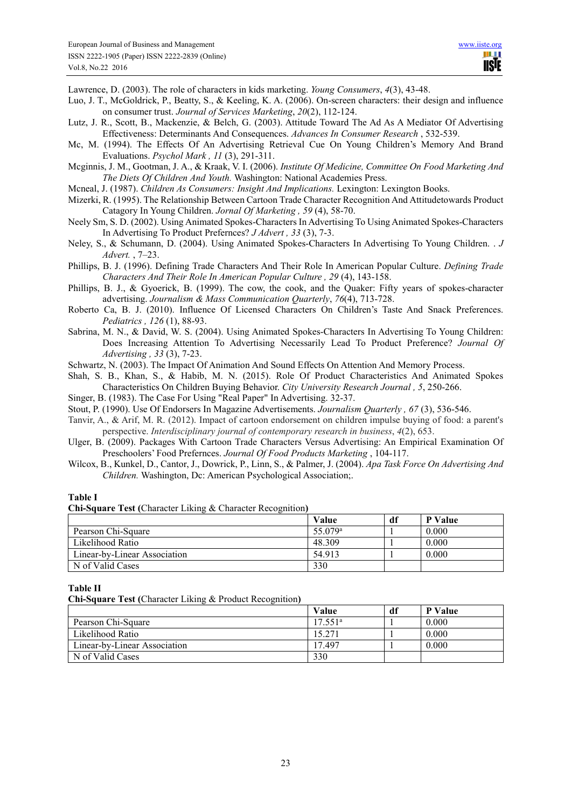Lawrence, D. (2003). The role of characters in kids marketing. *Young Consumers*, *4*(3), 43-48.

- Luo, J. T., McGoldrick, P., Beatty, S., & Keeling, K. A. (2006). On-screen characters: their design and influence on consumer trust. *Journal of Services Marketing*, *20*(2), 112-124.
- Lutz, J. R., Scott, B., Mackenzie, & Belch, G. (2003). Attitude Toward The Ad As A Mediator Of Advertising Effectiveness: Determinants And Consequences. *Advances In Consumer Research* , 532-539.
- Mc, M. (1994). The Effects Of An Advertising Retrieval Cue On Young Children's Memory And Brand Evaluations. *Psychol Mark , 11* (3), 291-311.
- Mcginnis, J. M., Gootman, J. A., & Kraak, V. I. (2006). *Institute Of Medicine, Committee On Food Marketing And The Diets Of Children And Youth.* Washington: National Academies Press.
- Mcneal, J. (1987). *Children As Consumers: Insight And Implications.* Lexington: Lexington Books.
- Mizerki, R. (1995). The Relationship Between Cartoon Trade Character Recognition And Attitudetowards Product Catagory In Young Children. *Jornal Of Marketing , 59* (4), 58-70.
- Neely Sm, S. D. (2002). Using Animated Spokes-Characters In Advertising To Using Animated Spokes-Characters In Advertising To Product Prefernces? *J Advert , 33* (3), 7-3.
- Neley, S., & Schumann, D. (2004). Using Animated Spokes-Characters In Advertising To Young Children. . *J Advert.* , 7–23.
- Phillips, B. J. (1996). Defining Trade Characters And Their Role In American Popular Culture. *Defining Trade Characters And Their Role In American Popular Culture , 29* (4), 143-158.
- Phillips, B. J., & Gyoerick, B. (1999). The cow, the cook, and the Quaker: Fifty years of spokes-character advertising. *Journalism & Mass Communication Quarterly*, *76*(4), 713-728.
- Roberto Ca, B. J. (2010). Influence Of Licensed Characters On Children's Taste And Snack Preferences. *Pediatrics , 126* (1), 88-93.
- Sabrina, M. N., & David, W. S. (2004). Using Animated Spokes-Characters In Advertising To Young Children: Does Increasing Attention To Advertising Necessarily Lead To Product Preference? *Journal Of Advertising , 33* (3), 7-23.
- Schwartz, N. (2003). The Impact Of Animation And Sound Effects On Attention And Memory Process.

Shah, S. B., Khan, S., & Habib, M. N. (2015). Role Of Product Characteristics And Animated Spokes Characteristics On Children Buying Behavior. *City University Research Journal , 5*, 250-266.

- Singer, B. (1983). The Case For Using "Real Paper" In Advertising. 32-37.
- Stout, P. (1990). Use Of Endorsers In Magazine Advertisements. *Journalism Quarterly , 67* (3), 536-546.
- Tanvir, A., & Arif, M. R. (2012). Impact of cartoon endorsement on children impulse buying of food: a parent's perspective. *Interdisciplinary journal of contemporary research in business*, *4*(2), 653.
- Ulger, B. (2009). Packages With Cartoon Trade Characters Versus Advertising: An Empirical Examination Of Preschoolers' Food Prefernces. *Journal Of Food Products Marketing* , 104-117.
- Wilcox, B., Kunkel, D., Cantor, J., Dowrick, P., Linn, S., & Palmer, J. (2004). *Apa Task Force On Advertising And Children.* Washington, Dc: American Psychological Association;.

## **Table I**

**Chi-Square Test (**Character Liking & Character Recognition**)** 

|                              | Value               | df | P Value |
|------------------------------|---------------------|----|---------|
| Pearson Chi-Square           | 55.079 <sup>a</sup> |    | 0.000   |
| Likelihood Ratio             | 48.309              |    | 0.000   |
| Linear-by-Linear Association | 54.913              |    | 0.000   |
| N of Valid Cases             | 330                 |    |         |

#### **Table II**

**Chi-Square Test (**Character Liking & Product Recognition**)** 

|                              | Value   | df | P Value |
|------------------------------|---------|----|---------|
| Pearson Chi-Square           | 17.551ª |    | 0.000   |
| Likelihood Ratio             | 15.271  |    | 0.000   |
| Linear-by-Linear Association | 17497   |    | 0.000   |
| N of Valid Cases             | 330     |    |         |